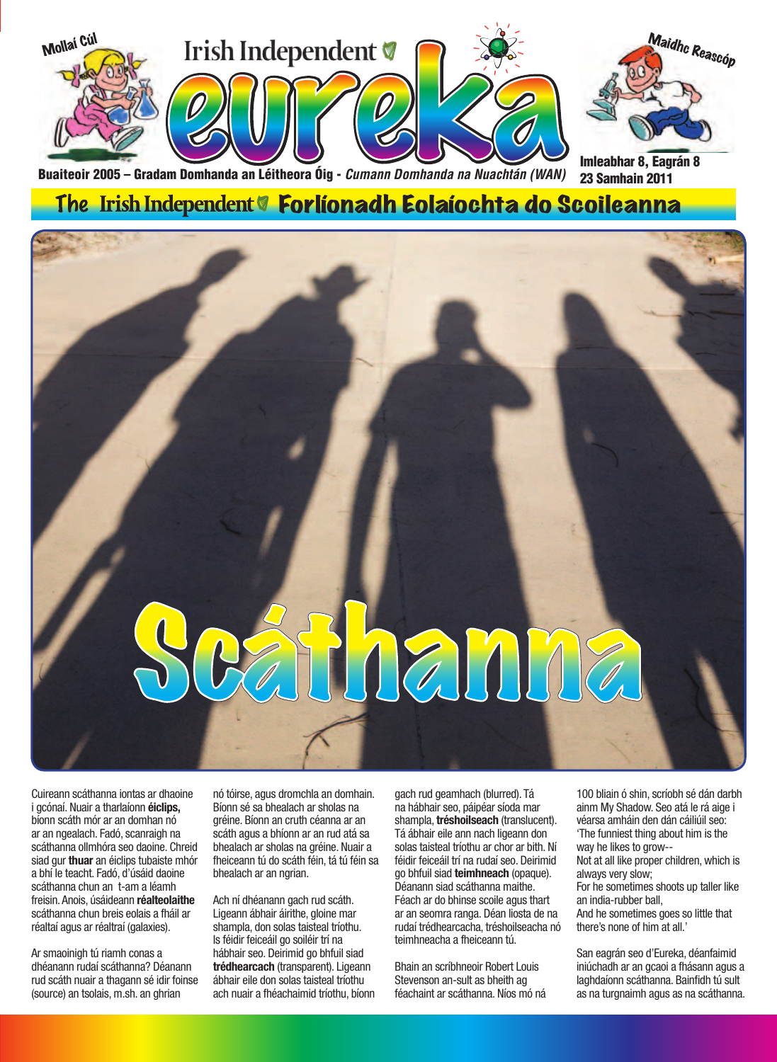

Buaiteoir 2005 – Gradam Domhanda an Léitheora Óig - *Cumann Domhanda na Nuachtán (WAN)* 

Imleabhar 8, Eagrán 8 23 Samhain 2011

### The Irish Independent<sup>o</sup> Forlíonadh Eolaíochta do Scoileanna



Cuireann scáthanna iontas ar dhaoine i gcónaí. Nuair a tharlaíonn **éiclips,**  bíonn scáth mór ar an domhan nó ar an ngealach. Fadó, scanraigh na scáthanna ollmhóra seo daoine. Chreid siad gur **thuar** an éiclips tubaiste mhór a bhí le teacht. Fadó, d'úsáid daoine scáthanna chun an t-am a léamh freisin. Anois, úsáideann **réalteolaithe**  scáthanna chun breis eolais a fháil ar réaltaí agus ar réaltraí (galaxies).

Ar smaoinigh tú riamh conas a dhéanann rudaí scáthanna? Déanann rud scáth nuair a thagann sé idir foinse (source) an tsolais, m.sh. an ghrian

nó tóirse, agus dromchla an domhain. Bíonn sé sa bhealach ar sholas na gréine. Bíonn an cruth céanna ar an scáth agus a bhíonn ar an rud atá sa bhealach ar sholas na gréine. Nuair a fheiceann tú do scáth féin, tá tú féin sa bhealach ar an ngrian.

Ach ní dhéanann gach rud scáth. Ligeann ábhair áirithe, gloine mar shampla, don solas taisteal tríothu. Is féidir feiceáil go soiléir trí na hábhair seo. Deirimid go bhfuil siad **trédhearcach** (transparent). Ligeann ábhair eile don solas taisteal tríothu ach nuair a fhéachaimid tríothu, bíonn

gach rud geamhach (blurred). Tá na hábhair seo, páipéar síoda mar shampla, **tréshoilseach** (translucent). Tá ábhair eile ann nach ligeann don solas taisteal tríothu ar chor ar bith. Ní féidir feiceáil trí na rudaí seo. Deirimid go bhfuil siad **teimhneach** (opaque). Déanann siad scáthanna maithe. Féach ar do bhinse scoile agus thart ar an seomra ranga. Déan liosta de na rudaí trédhearcacha, tréshoilseacha nó teimhneacha a fheiceann tú.

Bhain an scríbhneoir Robert Louis Stevenson an-sult as bheith ag féachaint ar scáthanna. Níos mó ná

100 bliain ó shin, scríobh sé dán darbh ainm My Shadow. Seo atá le rá aige i véarsa amháin den dán cáiliúil seo: 'The funniest thing about him is the way he likes to grow--

Not at all like proper children, which is always very slow;

For he sometimes shoots up taller like an india-rubber ball,

And he sometimes goes so little that there's none of him at all.'

San eagrán seo d'Eureka, déanfaimid iniúchadh ar an gcaoi a fhásann agus a laghdaíonn scáthanna. Bainfidh tú sult as na turgnaimh agus as na scáthanna.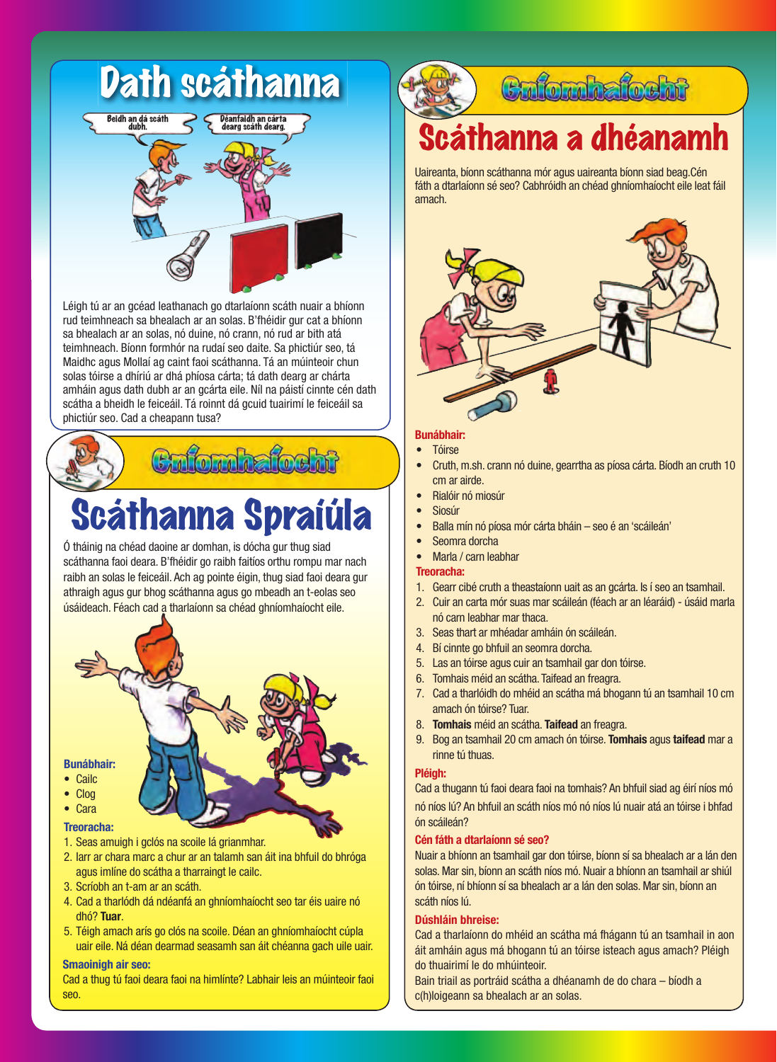

Léigh tú ar an gcéad leathanach go dtarlaíonn scáth nuair a bhíonn rud teimhneach sa bhealach ar an solas. B'fhéidir gur cat a bhíonn sa bhealach ar an solas, nó duine, nó crann, nó rud ar bith atá teimhneach. Bíonn formhór na rudaí seo daite. Sa phictiúr seo, tá Maidhc agus Mollaí ag caint faoi scáthanna. Tá an múinteoir chun solas tóirse a dhíriú ar dhá phíosa cárta; tá dath dearg ar chárta amháin agus dath dubh ar an gcárta eile. Níl na páistí cinnte cén dath scátha a bheidh le feiceáil. Tá roinnt dá gcuid tuairimí le feiceáil sa phictiúr seo. Cad a cheapann tusa?

# Scáthanna Spraíúla

Ó tháinig na chéad daoine ar domhan, is dócha gur thug siad scáthanna faoi deara. B'fhéidir go raibh faitíos orthu rompu mar nach raibh an solas le feiceáil. Ach ag pointe éigin, thug siad faoi deara gur athraigh agus gur bhog scáthanna agus go mbeadh an t-eolas seo úsáideach. Féach cad a tharlaíonn sa chéad ghníomhaíocht eile.

#### **Bunábhair:**

- Cailc
- Clog • Cara
- **Treoracha:**
- 
- 1. Seas amuigh i gclós na scoile lá grianmhar.
- 2. Iarr ar chara marc a chur ar an talamh san áit ina bhfuil do bhróga agus imlíne do scátha a tharraingt le cailc.
- 3. Scríobh an t-am ar an scáth.
- 4. Cad a tharlódh dá ndéanfá an ghníomhaíocht seo tar éis uaire nó dhó? **Tuar**.
- 5. Téigh amach arís go clós na scoile. Déan an ghníomhaíocht cúpla uair eile. Ná déan dearmad seasamh san áit chéanna gach uile uair.

#### **Smaoinigh air seo:**

Cad a thug tú faoi deara faoi na himlínte? Labhair leis an múinteoir faoi seo.

### **Colombatochi**

### àthanna a dhéanan

Uaireanta, bíonn scáthanna mór agus uaireanta bíonn siad beag.Cén fáth a dtarlaíonn sé seo? Cabhróidh an chéad ghníomhaíocht eile leat fáil amach.



#### **Bunábhair:**

- Tóirse
- Cruth, m.sh. crann nó duine, gearrtha as píosa cárta. Bíodh an cruth 10 cm ar airde.
- Rialóir nó miosúr
- **Siosúr**
- Balla mín nó píosa mór cárta bháin seo é an 'scáileán'
- Seomra dorcha
- Marla / carn leabhar

#### **Treoracha:**

- 1. Gearr cibé cruth a theastaíonn uait as an gcárta. Is í seo an tsamhail.
- 2. Cuir an carta mór suas mar scáileán (féach ar an léaráid) úsáid marla nó carn leabhar mar thaca.
- 3. Seas thart ar mhéadar amháin ón scáileán.
- 4. Bí cinnte go bhfuil an seomra dorcha.
- 5. Las an tóirse agus cuir an tsamhail gar don tóirse.
- 6. Tomhais méid an scátha. Taifead an freagra.
- 7. Cad a tharlóidh do mhéid an scátha má bhogann tú an tsamhail 10 cm amach ón tóirse? Tuar.
- 8. **Tomhais** méid an scátha. **Taifead** an freagra.
- 9. Bog an tsamhail 20 cm amach ón tóirse. **Tomhais** agus **taifead** mar a rinne tú thuas.

#### **Pléigh:**

Cad a thugann tú faoi deara faoi na tomhais? An bhfuil siad ag éirí níos mó nó níos lú? An bhfuil an scáth níos mó nó níos lú nuair atá an tóirse i bhfad ón scáileán?

#### **Cén fáth a dtarlaíonn sé seo?**

Nuair a bhíonn an tsamhail gar don tóirse, bíonn sí sa bhealach ar a lán den solas. Mar sin, bíonn an scáth níos mó. Nuair a bhíonn an tsamhail ar shiúl ón tóirse, ní bhíonn sí sa bhealach ar a lán den solas. Mar sin, bíonn an scáth níos lú.

#### **Dúshláin bhreise:**

Cad a tharlaíonn do mhéid an scátha má fhágann tú an tsamhail in aon áit amháin agus má bhogann tú an tóirse isteach agus amach? Pléigh do thuairimí le do mhúinteoir.

Bain triail as portráid scátha a dhéanamh de do chara – bíodh a c(h)loigeann sa bhealach ar an solas.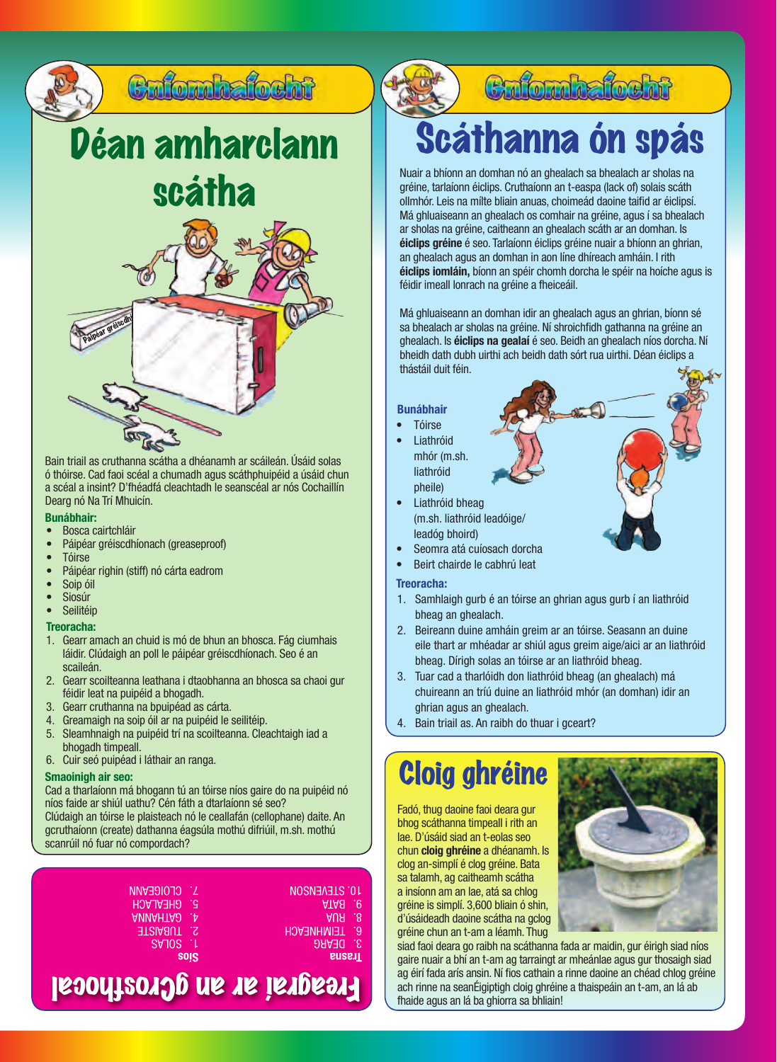

Bain triail as cruthanna scátha a dhéanamh ar scáileán. Úsáid solas ó thóirse. Cad faoi scéal a chumadh agus scáthphuipéid a úsáid chun a scéal a insint? D'fhéadfá cleachtadh le seanscéal ar nós Cochaillín Dearg nó Na Trí Mhuicín.

#### **Bunábhair:**

- Bosca cairtchláir
- Páipéar gréiscdhíonach (greaseproof)
- Tóirse
- Páipéar righin (stiff) nó cárta eadrom
- Soip óil
- Siosúr • Seilitéip

#### **Treoracha:**

- 1. Gearr amach an chuid is mó de bhun an bhosca. Fág ciumhais láidir. Clúdaigh an poll le páipéar gréiscdhíonach. Seo é an scaileán.
- 2. Gearr scoilteanna leathana i dtaobhanna an bhosca sa chaoi gur féidir leat na puipéid a bhogadh.
- 3. Gearr cruthanna na bpuipéad as cárta.
- 4. Greamaigh na soip óil ar na puipéid le seilitéip.
- 5. Sleamhnaigh na puipéid trí na scoilteanna. Cleachtaigh iad a bhogadh timpeall.
- 6. Cuir seó puipéad i láthair an ranga.

#### **Smaoinigh air seo:**

Cad a tharlaíonn má bhogann tú an tóirse níos gaire do na puipéid nó níos faide ar shiúl uathu? Cén fáth a dtarlaíonn sé seo? Clúdaigh an tóirse le plaisteach nó le ceallafán (cellophane) daite. An gcruthaíonn (create) dathanna éagsúla mothú difriúil, m.sh. mothú scanrúil nó fuar nó compordach?

| 7. CLOIGEANN           | <b>NOSNEAEIS OL</b>  |
|------------------------|----------------------|
| <b>5. GHEALACH</b>     | ATA8 .e.             |
| ANNAHTA <sub>2</sub> p | AUH .8               |
| <b>2. TUBAISTE</b>     | <b>B. TEIMHNEACH</b> |
| SVIOS L                | 3. DEARG             |
| <b>SOIS</b>            | <b>LISSIIE</b>       |
|                        |                      |

### Freagraí ar an gCrosfhocal

### Cafomhafocht

# Scáthanna ón spás

Nuair a bhíonn an domhan nó an ghealach sa bhealach ar sholas na gréine, tarlaíonn éiclips. Cruthaíonn an t-easpa (lack of) solais scáth ollmhór. Leis na mílte bliain anuas, choimeád daoine taifid ar éiclipsí. Má ghluaiseann an ghealach os comhair na gréine, agus í sa bhealach ar sholas na gréine, caitheann an ghealach scáth ar an domhan. Is **éiclips gréine** é seo. Tarlaíonn éiclips gréine nuair a bhíonn an ghrian, an ghealach agus an domhan in aon líne dhíreach amháin. I rith **éiclips iomláin,** bíonn an spéir chomh dorcha le spéir na hoíche agus is féidir imeall lonrach na gréine a fheiceáil.

Má ghluaiseann an domhan idir an ghealach agus an ghrian, bíonn sé sa bhealach ar sholas na gréine. Ní shroichfidh gathanna na gréine an ghealach. Is **éiclips na gealaí** é seo. Beidh an ghealach níos dorcha. Ní bheidh dath dubh uirthi ach beidh dath sórt rua uirthi. Déan éiclips a thástáil duit féin.

**Bunábhair**

- **Tóirse**
- **Liathróid** mhór (m.sh. liathróid pheile)
- Liathróid bheag (m.sh. liathróid leadóige/ leadóg bhoird)
- Seomra atá cuíosach dorcha
- Beirt chairde le cabhrú leat

#### **Treoracha:**

- 1. Samhlaigh gurb é an tóirse an ghrian agus gurb í an liathróid bheag an ghealach.
- 2. Beireann duine amháin greim ar an tóirse. Seasann an duine eile thart ar mhéadar ar shiúl agus greim aige/aici ar an liathróid bheag. Dírigh solas an tóirse ar an liathróid bheag.
- 3. Tuar cad a tharlóidh don liathróid bheag (an ghealach) má chuireann an tríú duine an liathróid mhór (an domhan) idir an ghrian agus an ghealach.
- 4. Bain triail as. An raibh do thuar i gceart?

### Cloig ghréine

Fadó, thug daoine faoi deara gur bhog scáthanna timpeall i rith an lae. D'úsáid siad an t-eolas seo chun **cloig ghréine** a dhéanamh. Is clog an-simplí é clog gréine. Bata sa talamh, ag caitheamh scátha a insíonn am an lae, atá sa chlog gréine is simplí. 3,600 bliain ó shin, d'úsáideadh daoine scátha na gclog gréine chun an t-am a léamh. Thug



siad faoi deara go raibh na scáthanna fada ar maidin, gur éirigh siad níos gaire nuair a bhí an t-am ag tarraingt ar mheánlae agus gur thosaigh siad ag éirí fada arís ansin. Ní fios cathain a rinne daoine an chéad chlog gréine ach rinne na seanÉigiptigh cloig ghréine a thaispeáin an t-am, an lá ab fhaide agus an lá ba ghiorra sa bhliain!